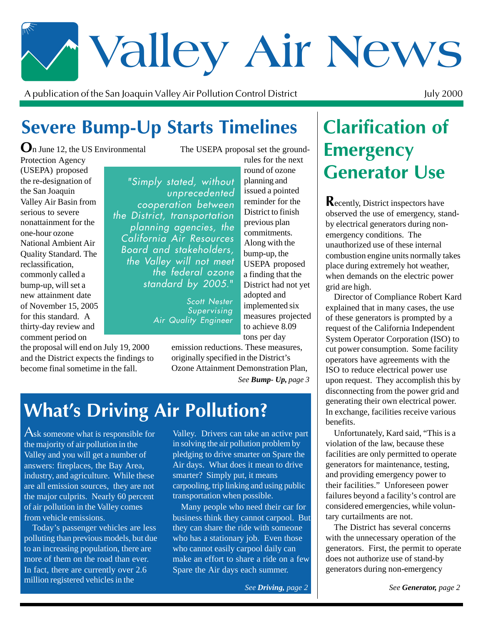# \* Valley Air News

A publication of the San Joaquin Valley Air Pollution Control District

July 2000

# Severe Bump-Up Starts Timelines

 $\mathbf{O}_n$  June 12, the US Environmental

Protection Agency (USEPA) proposed the re-designation of the San Joaquin Valley Air Basin from serious to severe nonattainment for the one-hour ozone National Ambient Air Quality Standard. The reclassification, commonly called a bump-up, will set a new attainment date of November 15, 2005 for this standard. A thirty-day review and comment period on

the proposal will end on July 19, 2000 and the District expects the findings to become final sometime in the fall.

The USEPA proposal set the groundrules for the next

"Simply stated, without unprecedented cooperation between the District, transportation planning agencies, the California Air Resources Board and stakeholders, the Valley will not meet the tederal ozone standard by 2005."

> Scott Nester Supervising Air Quality Engineer

round of ozone planning and issued a pointed reminder for the District to finish previous plan commitments. Along with the bump-up, the USEPA proposed a finding that the District had not yet adopted and implemented six measures projected to achieve 8.09 tons per day

*See Bump- Up, page 3* emission reductions. These measures, originally specified in the District's Ozone Attainment Demonstration Plan,

# **What's Driving Air Pollution?**

Ask someone what is responsible for the majority of air pollution in the Valley and you will get a number of answers: fireplaces, the Bay Area, industry, and agriculture. While these are all emission sources, they are not the major culprits. Nearly 60 percent of air pollution in the Valley comes from vehicle emissions.

Today's passenger vehicles are less polluting than previous models, but due to an increasing population, there are more of them on the road than ever. In fact, there are currently over 2.6 million registered vehicles in the

Valley. Drivers can take an active part in solving the air pollution problem by pledging to drive smarter on Spare the Air days. What does it mean to drive smarter? Simply put, it means carpooling, trip linking and using public transportation when possible.

Many people who need their car for business think they cannot carpool. But they can share the ride with someone who has a stationary job. Even those who cannot easily carpool daily can make an effort to share a ride on a few Spare the Air days each summer.

*See Driving, page 2*

## **Clarification of Emergency Generator Use**

**Recently, District inspectors have** observed the use of emergency, standby electrical generators during nonemergency conditions. The unauthorized use of these internal combustion engine units normally takes place during extremely hot weather, when demands on the electric power grid are high.

Director of Compliance Robert Kard explained that in many cases, the use of these generators is prompted by a request of the California Independent System Operator Corporation (ISO) to cut power consumption. Some facility operators have agreements with the ISO to reduce electrical power use upon request. They accomplish this by disconnecting from the power grid and generating their own electrical power. In exchange, facilities receive various benefits.

Unfortunately, Kard said, "This is a violation of the law, because these facilities are only permitted to operate generators for maintenance, testing, and providing emergency power to their facilities." Unforeseen power failures beyond a facility's control are considered emergencies, while voluntary curtailments are not.

The District has several concerns with the unnecessary operation of the generators. First, the permit to operate does not authorize use of stand-by generators during non-emergency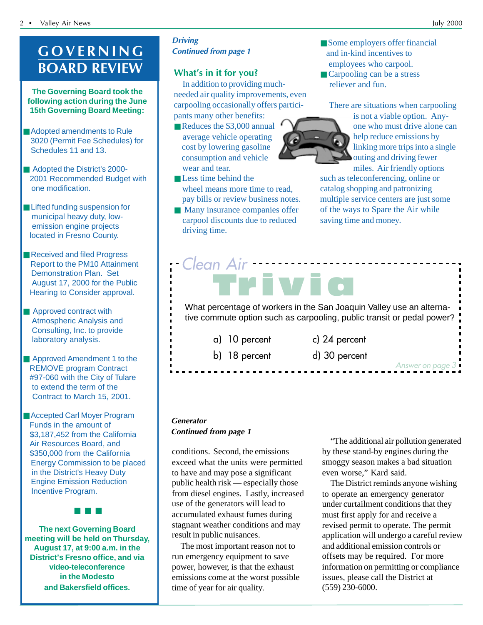## GOVERNING **BOARD REVIEW**

**The Governing Board took the following action during the June 15th Governing Board Meeting:**

- Adopted amendments to Rule 3020 (Permit Fee Schedules) for Schedules 11 and 13.
- Adopted the District's 2000- 2001 Recommended Budget with one modification.
- Lifted funding suspension for municipal heavy duty, low emission engine projects located in Fresno County.
- Received and filed Progress Report to the PM10 Attainment Demonstration Plan. Set August 17, 2000 for the Public Hearing to Consider approval.
- Approved contract with Atmospheric Analysis and Consulting, Inc. to provide laboratory analysis.
- Approved Amendment 1 to the REMOVE program Contract #97-060 with the City of Tulare to extend the term of the Contract to March 15, 2001.
- Accepted Carl Moyer Program Funds in the amount of \$3,187,452 from the California Air Resources Board, and \$350,000 from the California Energy Commission to be placed in the District's Heavy Duty Engine Emission Reduction Incentive Program.

■ ■ ■

**The next Governing Board meeting will be held on Thursday, August 17, at 9:00 a.m. in the District's Fresno office, and via video-teleconference in the Modesto and Bakersfield offices.**

**Driving Continued from page 1** 

### What's in it for you?

In addition to providing muchneeded air quality improvements, even carpooling occasionally offers participants many other benefits:

- Reduces the \$3,000 annual average vehicle operating cost by lowering gasoline consumption and vehicle wear and tear.
- Less time behind the wheel means more time to read, pay bills or review business notes.
- Many insurance companies offer carpool discounts due to reduced driving time.
- Some employers offer financial and in-kind incentives to employees who carpool.
	- Carpooling can be a stress reliever and fun.

There are situations when carpooling



is not a viable option. Anyone who must drive alone can help reduce emissions by linking more trips into a single outing and driving fewer miles. Air friendly options

such as teleconferencing, online or catalog shopping and patronizing multiple service centers are just some of the ways to Spare the Air while saving time and money.

## What percentage of workers in the San Joaquin Valley use an alternative commute option such as carpooling, public transit or pedal power? Trivic **Clean Air**

- a) 10 percen
- -

t c) 24 percent

- 
- 

b) 18 percent d)

30 percent

Generator **Continued from page 1** 

conditions. Second, the emissions exceed what the units were permitted to have and may pose a significant public health risk — especially those from diesel engines. Lastly, increased use of the generators will lead to accumulated exhaust fumes during stagnant weather conditions and may result in public nuisances.

The most important reason not to run emergency equipment to save power, however, is that the exhaust emissions come at the worst possible time of year for air quality.

"The additional air pollution generated by these stand-by engines during the smoggy season makes a bad situation even worse," Kard said.

Answer on page 3

The District reminds anyone wishing to operate an emergency generator under curtailment conditions that they must first apply for and receive a revised permit to operate. The permit application will undergo a careful review and additional emission controls or offsets may be required. For more information on permitting or compliance issues, please call the District at (559) 230-6000.